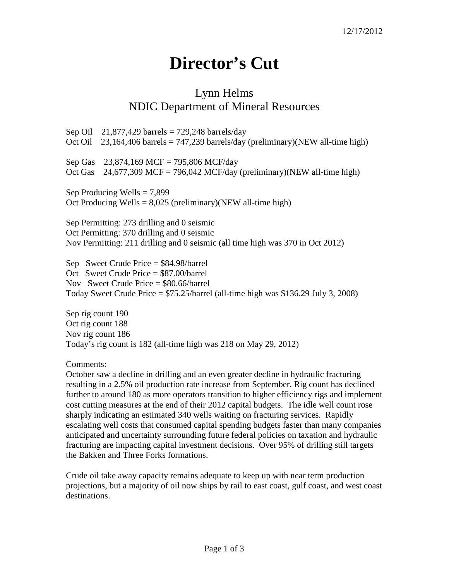## **Director's Cut**

## Lynn Helms NDIC Department of Mineral Resources

Sep Oil  $21,877,429$  barrels = 729,248 barrels/day Oct Oil 23,164,406 barrels = 747,239 barrels/day (preliminary)(NEW all-time high) Sep Gas 23,874,169 MCF = 795,806 MCF/day Oct Gas  $24,677,309$  MCF = 796,042 MCF/day (preliminary)(NEW all-time high) Sep Producing Wells  $= 7,899$ Oct Producing Wells =  $8,025$  (preliminary)(NEW all-time high) Sep Permitting: 273 drilling and 0 seismic Oct Permitting: 370 drilling and 0 seismic Nov Permitting: 211 drilling and 0 seismic (all time high was 370 in Oct 2012) Sep Sweet Crude Price = \$84.98/barrel

Oct Sweet Crude Price = \$87.00/barrel Nov Sweet Crude Price = \$80.66/barrel Today Sweet Crude Price = \$75.25/barrel (all-time high was \$136.29 July 3, 2008)

Sep rig count 190 Oct rig count 188 Nov rig count 186 Today's rig count is 182 (all-time high was 218 on May 29, 2012)

Comments:

October saw a decline in drilling and an even greater decline in hydraulic fracturing resulting in a 2.5% oil production rate increase from September. Rig count has declined further to around 180 as more operators transition to higher efficiency rigs and implement cost cutting measures at the end of their 2012 capital budgets. The idle well count rose sharply indicating an estimated 340 wells waiting on fracturing services. Rapidly escalating well costs that consumed capital spending budgets faster than many companies anticipated and uncertainty surrounding future federal policies on taxation and hydraulic fracturing are impacting capital investment decisions. Over 95% of drilling still targets the Bakken and Three Forks formations.

Crude oil take away capacity remains adequate to keep up with near term production projections, but a majority of oil now ships by rail to east coast, gulf coast, and west coast destinations.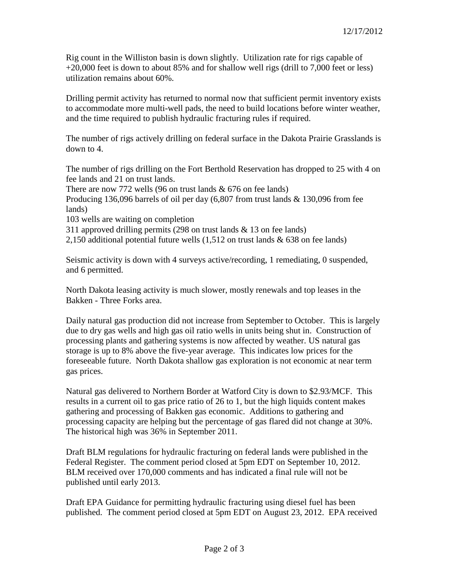Rig count in the Williston basin is down slightly. Utilization rate for rigs capable of +20,000 feet is down to about 85% and for shallow well rigs (drill to 7,000 feet or less) utilization remains about 60%.

Drilling permit activity has returned to normal now that sufficient permit inventory exists to accommodate more multi-well pads, the need to build locations before winter weather, and the time required to publish hydraulic fracturing rules if required.

The number of rigs actively drilling on federal surface in the Dakota Prairie Grasslands is down to 4.

The number of rigs drilling on the Fort Berthold Reservation has dropped to 25 with 4 on fee lands and 21 on trust lands.

There are now 772 wells (96 on trust lands  $& 676$  on fee lands) Producing 136,096 barrels of oil per day (6,807 from trust lands & 130,096 from fee lands)

103 wells are waiting on completion

311 approved drilling permits (298 on trust lands & 13 on fee lands)

2,150 additional potential future wells (1,512 on trust lands & 638 on fee lands)

Seismic activity is down with 4 surveys active/recording, 1 remediating, 0 suspended, and 6 permitted.

North Dakota leasing activity is much slower, mostly renewals and top leases in the Bakken - Three Forks area.

Daily natural gas production did not increase from September to October. This is largely due to dry gas wells and high gas oil ratio wells in units being shut in. Construction of processing plants and gathering systems is now affected by weather. US natural gas storage is up to 8% above the five-year average. This indicates low prices for the foreseeable future. North Dakota shallow gas exploration is not economic at near term gas prices.

Natural gas delivered to Northern Border at Watford City is down to \$2.93/MCF. This results in a current oil to gas price ratio of 26 to 1, but the high liquids content makes gathering and processing of Bakken gas economic. Additions to gathering and processing capacity are helping but the percentage of gas flared did not change at 30%. The historical high was 36% in September 2011.

Draft BLM regulations for hydraulic fracturing on federal lands were published in the Federal Register. The comment period closed at 5pm EDT on September 10, 2012. BLM received over 170,000 comments and has indicated a final rule will not be published until early 2013.

Draft EPA Guidance for permitting hydraulic fracturing using diesel fuel has been published. The comment period closed at 5pm EDT on August 23, 2012. EPA received